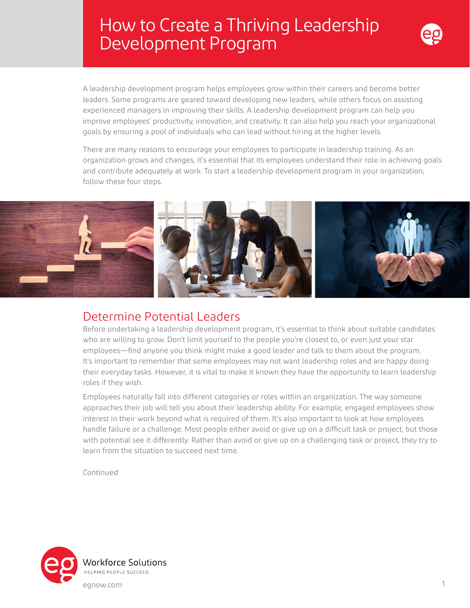# How to Create a Thriving Leadership Development Program



A leadership development program helps employees grow within their careers and become better leaders. Some programs are geared toward developing new leaders, while others focus on assisting experienced managers in improving their skills. A leadership development program can help you improve employees' productivity, innovation, and creativity. It can also help you reach your organizational goals by ensuring a pool of individuals who can lead without hiring at the higher levels.

There are many reasons to encourage your employees to participate in leadership training. As an organization grows and changes, it's essential that its employees understand their role in achieving goals and contribute adequately at work. To start a leadership development program in your organization, follow these four steps.



### Determine Potential Leaders

Before undertaking a leadership development program, it's essential to think about suitable candidates who are willing to grow. Don't limit yourself to the people you're closest to, or even just your star employees—find anyone you think might make a good leader and talk to them about the program. It's important to remember that some employees may not want leadership roles and are happy doing their everyday tasks. However, it is vital to make it known they have the opportunity to learn leadership roles if they wish.

Employees naturally fall into different categories or roles within an organization. The way someone approaches their job will tell you about their leadership ability. For example, engaged employees show interest in their work beyond what is required of them. It's also important to look at how employees handle failure or a challenge. Most people either avoid or give up on a difficult task or project, but those with potential see it differently. Rather than avoid or give up on a challenging task or project, they try to learn from the situation to succeed next time.

*Continued*

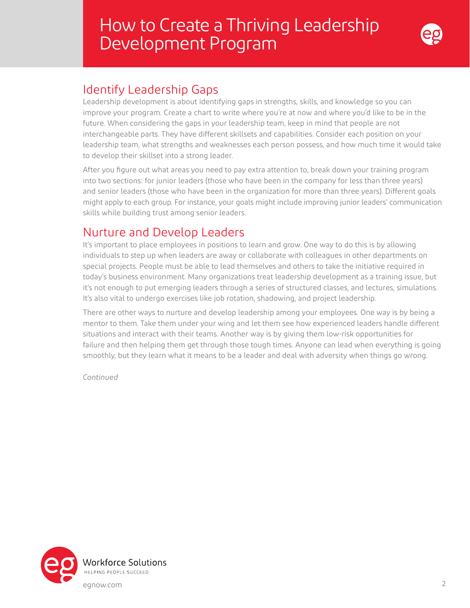# How to Create a Thriving Leadership Development Program



### Identify Leadership Gaps

Leadership development is about identifying gaps in strengths, skills, and knowledge so you can improve your program. Create a chart to write where you're at now and where you'd like to be in the future. When considering the gaps in your leadership team, keep in mind that people are not interchangeable parts. They have different skillsets and capabilities. Consider each position on your leadership team, what strengths and weaknesses each person possess, and how much time it would take to develop their skillset into a strong leader.

After you figure out what areas you need to pay extra attention to, break down your training program into two sections: for junior leaders (those who have been in the company for less than three years) and senior leaders (those who have been in the organization for more than three years). Different goals might apply to each group. For instance, your goals might include improving junior leaders' communication skills while building trust among senior leaders.

### Nurture and Develop Leaders

It's important to place employees in positions to learn and grow. One way to do this is by allowing individuals to step up when leaders are away or collaborate with colleagues in other departments on special projects. People must be able to lead themselves and others to take the initiative required in today's business environment. Many organizations treat leadership development as a training issue, but it's not enough to put emerging leaders through a series of structured classes, and lectures, simulations. It's also vital to undergo exercises like job rotation, shadowing, and project leadership.

There are other ways to nurture and develop leadership among your employees. One way is by being a mentor to them. Take them under your wing and let them see how experienced leaders handle different situations and interact with their teams. Another way is by giving them low-risk opportunities for failure and then helping them get through those tough times. Anyone can lead when everything is going smoothly, but they learn what it means to be a leader and deal with adversity when things go wrong.

*Continued*